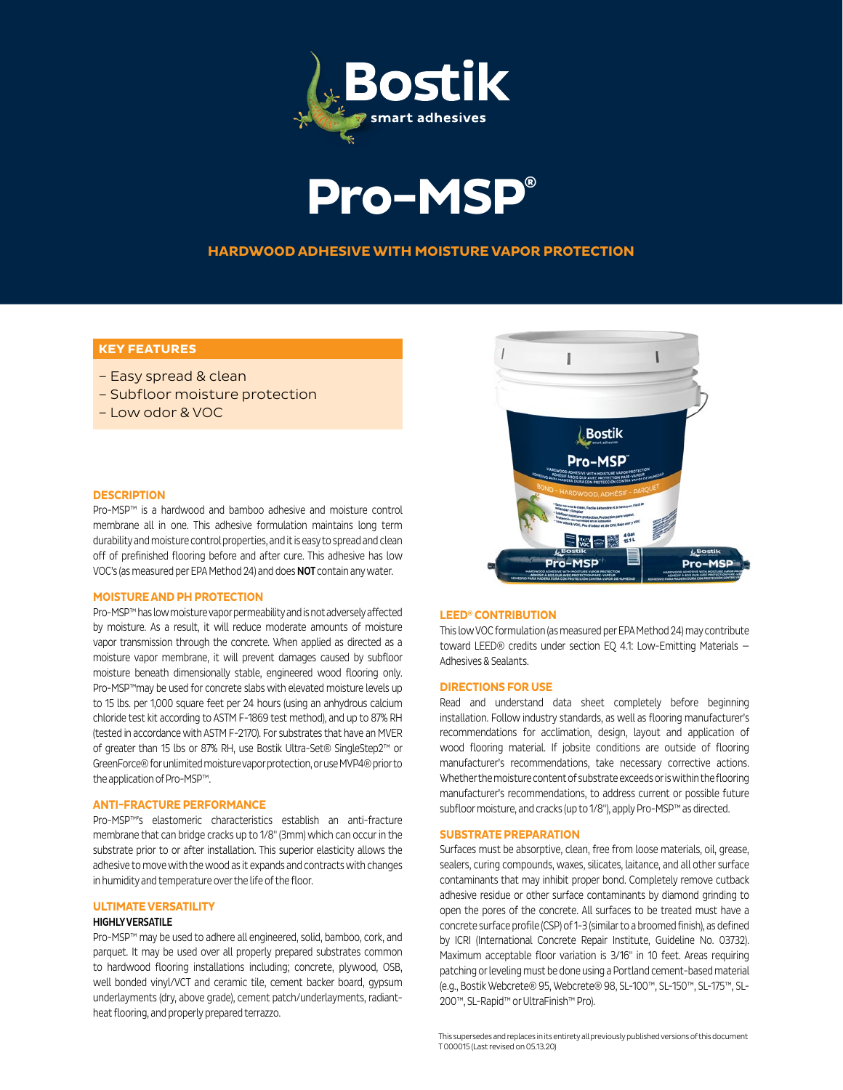



## **HARDWOOD ADHESIVE WITH MOISTURE VAPOR PROTECTION**

# **KEY FEATURES**

- Easy spread & clean
- Subfloor moisture protection
- Low odor & VOC

### **DESCRIPTION**

Pro-MSP™ is a hardwood and bamboo adhesive and moisture control membrane all in one. This adhesive formulation maintains long term durability and moisture control properties, and it is easy to spread and clean off of prefinished flooring before and after cure. This adhesive has low VOC's (as measured per EPA Method 24) and does NOT contain any water.

### **MOISTURE AND PH PROTECTION**

Pro-MSP™ has low moisture vapor permeability and is not adversely affected by moisture. As a result, it will reduce moderate amounts of moisture vapor transmission through the concrete. When applied as directed as a moisture vapor membrane, it will prevent damages caused by subfloor moisture beneath dimensionally stable, engineered wood flooring only. Pro-MSP™may be used for concrete slabs with elevated moisture levels up to 15 lbs. per 1,000 square feet per 24 hours (using an anhydrous calcium chloride test kit according to ASTM F-1869 test method), and up to 87% RH (tested in accordance with ASTM F-2170). For substrates that have an MVER of greater than 15 lbs or 87% RH, use Bostik Ultra-Set® SingleStep2™ or GreenForce® for unlimited moisture vapor protection, or use MVP4® prior to the application of Pro-MSP™.

## **ANTI-FRACTURE PERFORMANCE**

Pro-MSP™'s elastomeric characteristics establish an anti-fracture membrane that can bridge cracks up to 1/8" (3mm) which can occur in the substrate prior to or after installation. This superior elasticity allows the adhesive to move with the wood as it expands and contracts with changes in humidity and temperature over the life of the floor.

### **ULTIMATE VERSATILITY**

## **HIGHLY VERSATILE**

Pro-MSP™ may be used to adhere all engineered, solid, bamboo, cork, and parquet. It may be used over all properly prepared substrates common to hardwood flooring installations including; concrete, plywood, OSB, well bonded vinyl/VCT and ceramic tile, cement backer board, gypsum underlayments (dry, above grade), cement patch/underlayments, radiantheat flooring, and properly prepared terrazzo.



### **LEED® CONTRIBUTION**

This low VOC formulation (as measured per EPA Method 24) may contribute toward LEED® credits under section EQ 4.1: Low-Emitting Materials — Adhesives & Sealants.

### **DIRECTIONS FOR USE**

Read and understand data sheet completely before beginning installation. Follow industry standards, as well as flooring manufacturer's recommendations for acclimation, design, layout and application of wood flooring material. If jobsite conditions are outside of flooring manufacturer's recommendations, take necessary corrective actions. Whether the moisture content of substrate exceeds or is within the flooring manufacturer's recommendations, to address current or possible future subfloor moisture, and cracks (up to 1/8"), apply Pro-MSP™ as directed.

### **SUBSTRATE PREPARATION**

Surfaces must be absorptive, clean, free from loose materials, oil, grease, sealers, curing compounds, waxes, silicates, laitance, and all other surface contaminants that may inhibit proper bond. Completely remove cutback adhesive residue or other surface contaminants by diamond grinding to open the pores of the concrete. All surfaces to be treated must have a concrete surface profile (CSP) of 1-3 (similar to a broomed finish), as defined by ICRI (International Concrete Repair Institute, Guideline No. 03732). Maximum acceptable floor variation is 3/16" in 10 feet. Areas requiring patching or leveling must be done using a Portland cement-based material (e.g., Bostik Webcrete® 95, Webcrete® 98, SL-100™, SL-150™, SL-175™, SL-200™, SL-Rapid™ or UltraFinish™ Pro).

This supersedes and replaces in its entirety all previously published versions of this document T 000015 (Last revised on 05.13.20)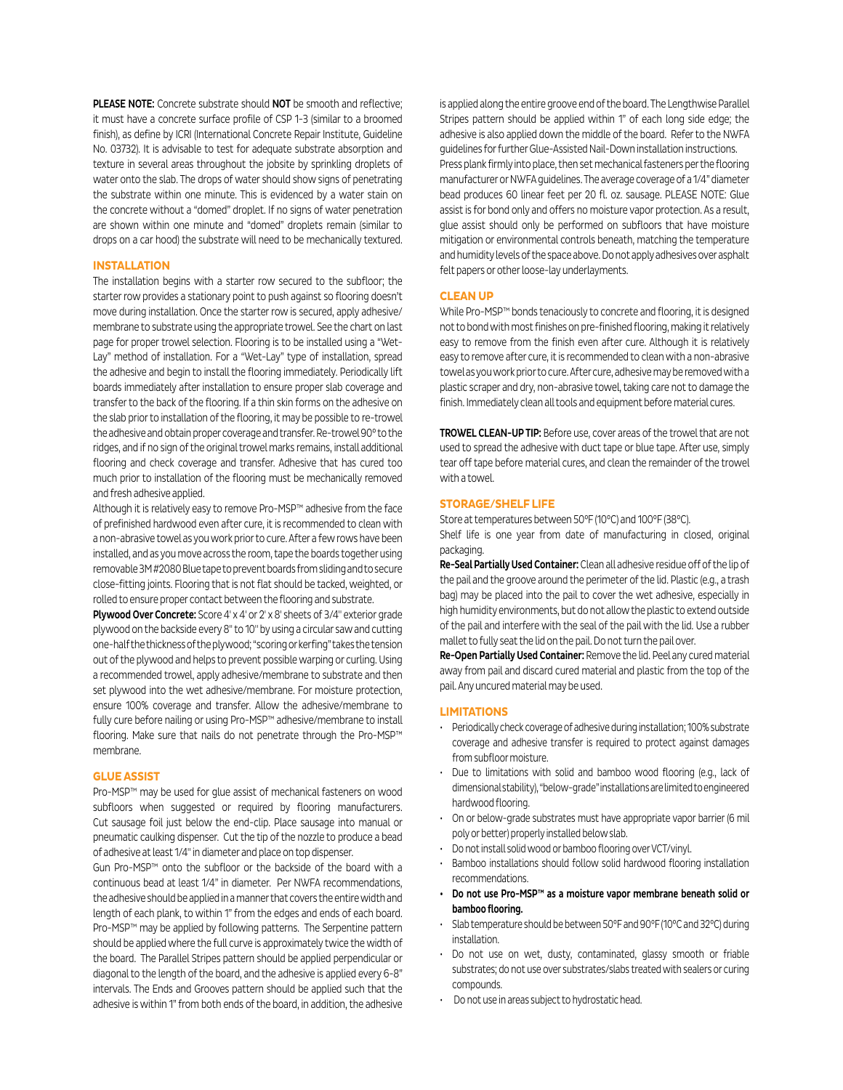PLEASE NOTE: Concrete substrate should NOT be smooth and reflective; it must have a concrete surface profile of CSP 1-3 (similar to a broomed finish), as define by ICRI (International Concrete Repair Institute, Guideline No. 03732). It is advisable to test for adequate substrate absorption and texture in several areas throughout the jobsite by sprinkling droplets of water onto the slab. The drops of water should show signs of penetrating the substrate within one minute. This is evidenced by a water stain on the concrete without a "domed" droplet. If no signs of water penetration are shown within one minute and "domed" droplets remain (similar to drops on a car hood) the substrate will need to be mechanically textured.

### **INSTALLATION**

The installation begins with a starter row secured to the subfloor; the starter row provides a stationary point to push against so flooring doesn't move during installation. Once the starter row is secured, apply adhesive/ membrane to substrate using the appropriate trowel. See the chart on last page for proper trowel selection. Flooring is to be installed using a "Wet-Lay" method of installation. For a "Wet-Lay" type of installation, spread the adhesive and begin to install the flooring immediately. Periodically lift boards immediately after installation to ensure proper slab coverage and transfer to the back of the flooring. If a thin skin forms on the adhesive on the slab prior to installation of the flooring, it may be possible to re-trowel the adhesive and obtain proper coverage and transfer. Re-trowel 90° to the ridges, and if no sign of the original trowel marks remains, install additional flooring and check coverage and transfer. Adhesive that has cured too much prior to installation of the flooring must be mechanically removed and fresh adhesive applied.

Although it is relatively easy to remove Pro-MSP™ adhesive from the face of prefinished hardwood even after cure, it is recommended to clean with a non-abrasive towel as you work prior to cure. After a few rows have been installed, and as you move across the room, tape the boards together using removable 3M #2080 Blue tape to prevent boards from sliding and to secure close-fitting joints. Flooring that is not flat should be tacked, weighted, or rolled to ensure proper contact between the flooring and substrate.

Plywood Over Concrete: Score 4' x 4' or 2' x 8' sheets of 3/4" exterior grade plywood on the backside every 8" to 10" by using a circular saw and cutting one-half the thickness of the plywood; "scoring or kerfing" takes the tension out of the plywood and helps to prevent possible warping or curling. Using a recommended trowel, apply adhesive/membrane to substrate and then set plywood into the wet adhesive/membrane. For moisture protection, ensure 100% coverage and transfer. Allow the adhesive/membrane to fully cure before nailing or using Pro-MSP™ adhesive/membrane to install flooring. Make sure that nails do not penetrate through the Pro-MSP™ membrane.

#### **GLUE ASSIST**

Pro-MSP™ may be used for glue assist of mechanical fasteners on wood subfloors when suggested or required by flooring manufacturers. Cut sausage foil just below the end-clip. Place sausage into manual or pneumatic caulking dispenser. Cut the tip of the nozzle to produce a bead of adhesive at least 1/4" in diameter and place on top dispenser.

Gun Pro-MSP™ onto the subfloor or the backside of the board with a continuous bead at least 1/4" in diameter. Per NWFA recommendations, the adhesive should be applied in a manner that covers the entire width and length of each plank, to within 1" from the edges and ends of each board. Pro-MSP™ may be applied by following patterns. The Serpentine pattern should be applied where the full curve is approximately twice the width of the board. The Parallel Stripes pattern should be applied perpendicular or diagonal to the length of the board, and the adhesive is applied every 6-8" intervals. The Ends and Grooves pattern should be applied such that the adhesive is within 1" from both ends of the board, in addition, the adhesive

is applied along the entire groove end of the board. The Lengthwise Parallel Stripes pattern should be applied within 1" of each long side edge; the adhesive is also applied down the middle of the board. Refer to the NWFA guidelines for further Glue-Assisted Nail-Down installation instructions. Press plank firmly into place, then set mechanical fasteners per the flooring manufacturer or NWFA guidelines. The average coverage of a 1/4" diameter bead produces 60 linear feet per 20 fl. oz. sausage. PLEASE NOTE: Glue assist is for bond only and offers no moisture vapor protection. As a result, glue assist should only be performed on subfloors that have moisture mitigation or environmental controls beneath, matching the temperature and humidity levels of the space above. Do not apply adhesives over asphalt felt papers or other loose-lay underlayments.

### **CLEAN UP**

While Pro-MSP™ bonds tenaciously to concrete and flooring, it is designed not to bond with most finishes on pre-finished flooring, making it relatively easy to remove from the finish even after cure. Although it is relatively easy to remove after cure, it is recommended to clean with a non-abrasive towel as you work prior to cure. After cure, adhesive may be removed with a plastic scraper and dry, non-abrasive towel, taking care not to damage the finish. Immediately clean all tools and equipment before material cures.

TROWEL CLEAN-UP TIP: Before use, cover areas of the trowel that are not used to spread the adhesive with duct tape or blue tape. After use, simply tear off tape before material cures, and clean the remainder of the trowel with a towel.

#### **STORAGE/SHELF LIFE**

Store at temperatures between 50°F (10°C) and 100°F (38°C). Shelf life is one year from date of manufacturing in closed, original packaging.

Re-Seal Partially Used Container: Clean all adhesive residue off of the lip of the pail and the groove around the perimeter of the lid. Plastic (e.g., a trash bag) may be placed into the pail to cover the wet adhesive, especially in high humidity environments, but do not allow the plastic to extend outside of the pail and interfere with the seal of the pail with the lid. Use a rubber mallet to fully seat the lid on the pail. Do not turn the pail over.

Re-Open Partially Used Container: Remove the lid. Peel any cured material away from pail and discard cured material and plastic from the top of the pail. Any uncured material may be used.

### **LIMITATIONS**

- Periodically check coverage of adhesive during installation; 100% substrate coverage and adhesive transfer is required to protect against damages from subfloor moisture.
- Due to limitations with solid and bamboo wood flooring (e.g., lack of dimensional stability), "below-grade" installations are limited to engineered hardwood flooring.
- On or below-grade substrates must have appropriate vapor barrier (6 mil poly or better) properly installed below slab.
- Do not install solid wood or bamboo flooring over VCT/vinyl.
- Bamboo installations should follow solid hardwood flooring installation recommendations.
- Do not use Pro-MSP™ as a moisture vapor membrane beneath solid or bamboo flooring.
- Slab temperature should be between 50°F and 90°F (10°C and 32°C) during installation.
- Do not use on wet, dusty, contaminated, glassy smooth or friable substrates; do not use over substrates/slabs treated with sealers or curing compounds.
- Do not use in areas subject to hydrostatic head.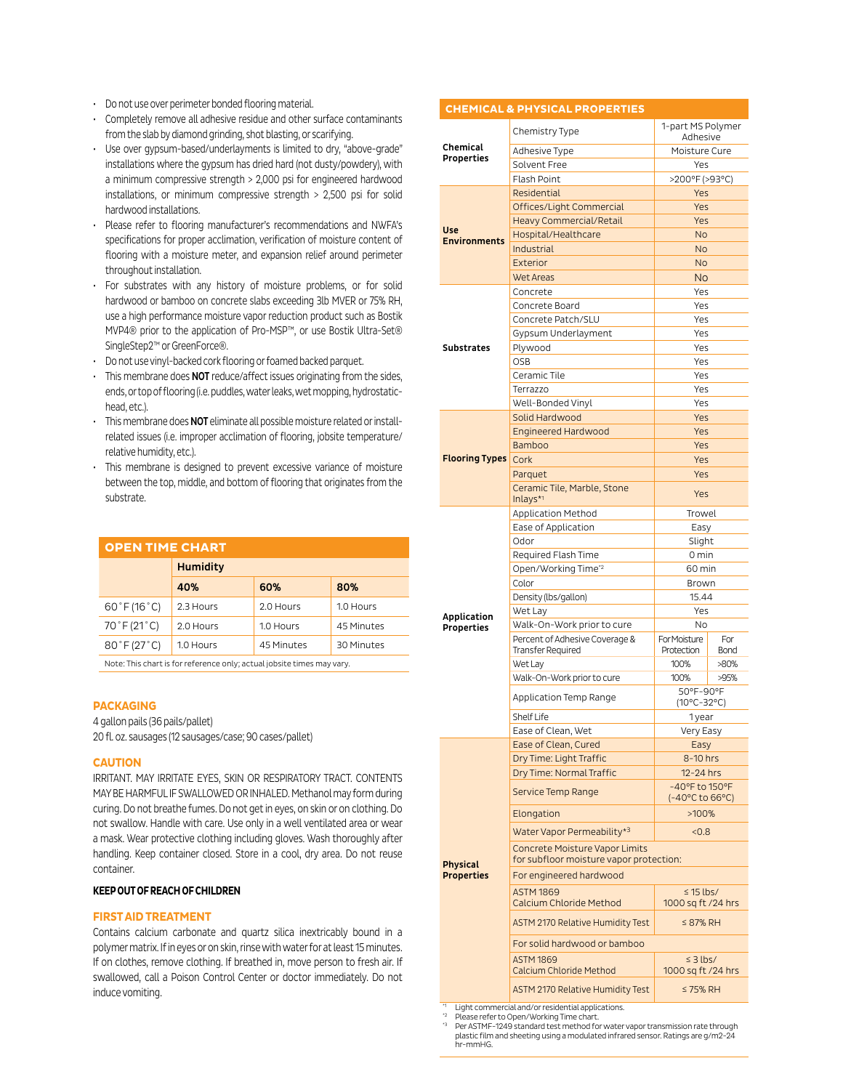- Do not use over perimeter bonded flooring material.
- Completely remove all adhesive residue and other surface contaminants from the slab by diamond grinding, shot blasting, or scarifying.
- Use over gypsum-based/underlayments is limited to dry, "above-grade" installations where the gypsum has dried hard (not dusty/powdery), with a minimum compressive strength > 2,000 psi for engineered hardwood installations, or minimum compressive strength > 2,500 psi for solid hardwood installations.
- Please refer to flooring manufacturer's recommendations and NWFA's specifications for proper acclimation, verification of moisture content of flooring with a moisture meter, and expansion relief around perimeter throughout installation.
- For substrates with any history of moisture problems, or for solid hardwood or bamboo on concrete slabs exceeding 3lb MVER or 75% RH, use a high performance moisture vapor reduction product such as Bostik MVP4® prior to the application of Pro-MSP™, or use Bostik Ultra-Set® SingleStep2™ or GreenForce®.
- Do not use vinyl-backed cork flooring or foamed backed parquet.
- This membrane does NOT reduce/affect issues originating from the sides, ends, or top of flooring (i.e. puddles, water leaks, wet mopping, hydrostatichead, etc.).
- This membrane does **NOT** eliminate all possible moisture related or installrelated issues (i.e. improper acclimation of flooring, jobsite temperature/ relative humidity, etc.).
- This membrane is designed to prevent excessive variance of moisture between the top, middle, and bottom of flooring that originates from the substrate.

| <b>OPEN TIME CHART</b>           |                 |            |            |  |  |
|----------------------------------|-----------------|------------|------------|--|--|
|                                  | <b>Humidity</b> |            |            |  |  |
|                                  | 40%             | 60%        | 80%        |  |  |
| $60^{\circ}$ F (16 $^{\circ}$ C) | 2.3 Hours       | 2.0 Hours  | 1.0 Hours  |  |  |
| 70°F (21°C)                      | 2.0 Hours       | 1.0 Hours  | 45 Minutes |  |  |
| $80^{\circ}$ F (27 $^{\circ}$ C) | 1.0 Hours       | 45 Minutes | 30 Minutes |  |  |
|                                  |                 |            |            |  |  |

Note: This chart is for reference only; actual jobsite times may vary.

#### **PACKAGING**

4 gallon pails (36 pails/pallet)

20 fl. oz. sausages (12 sausages/case; 90 cases/pallet)

## **CAUTION**

IRRITANT. MAY IRRITATE EYES, SKIN OR RESPIRATORY TRACT. CONTENTS MAY BE HARMFUL IF SWALLOWED OR INHALED. Methanol may form during curing. Do not breathe fumes. Do not get in eyes, on skin or on clothing. Do not swallow. Handle with care. Use only in a well ventilated area or wear a mask. Wear protective clothing including gloves. Wash thoroughly after handling. Keep container closed. Store in a cool, dry area. Do not reuse container.

## **KEEP OUT OF REACH OF CHILDREN**

## **FIRST AID TREATMENT**

Contains calcium carbonate and quartz silica inextricably bound in a polymer matrix. If in eyes or on skin, rinse with water for at least 15 minutes. If on clothes, remove clothing. If breathed in, move person to fresh air. If swallowed, call a Poison Control Center or doctor immediately. Do not induce vomiting.

|                            | <b>CHEMICAL &amp; PHYSICAL PROPERTIES</b>                                 |                                      |                    |  |  |
|----------------------------|---------------------------------------------------------------------------|--------------------------------------|--------------------|--|--|
| Chemical                   | Chemistry Type                                                            | 1-part MS Polymer<br>Adhesive        |                    |  |  |
|                            | Adhesive Type                                                             | Moisture Cure                        |                    |  |  |
| Properties                 | Solvent Free                                                              | Yes                                  |                    |  |  |
|                            | <b>Flash Point</b>                                                        | >200°F (>93°C)                       |                    |  |  |
|                            | Residential                                                               | Yes                                  |                    |  |  |
|                            | Offices/Light Commercial                                                  | Yes                                  |                    |  |  |
|                            | <b>Heavy Commercial/Retail</b>                                            | Yes                                  |                    |  |  |
| Use<br><b>Environments</b> | Hospital/Healthcare                                                       | <b>No</b>                            |                    |  |  |
|                            | Industrial                                                                | No                                   |                    |  |  |
|                            | Exterior                                                                  | <b>No</b>                            |                    |  |  |
|                            | <b>Wet Areas</b>                                                          | <b>No</b>                            |                    |  |  |
|                            | Concrete                                                                  | Yes                                  |                    |  |  |
|                            | Concrete Board                                                            | Yes                                  |                    |  |  |
|                            | Concrete Patch/SLU                                                        | Yes                                  |                    |  |  |
|                            | Gypsum Underlayment                                                       | Yes                                  |                    |  |  |
| Substrates                 | Plywood                                                                   | Yes                                  |                    |  |  |
|                            | <b>OSB</b>                                                                | Yes                                  |                    |  |  |
|                            | Ceramic Tile                                                              | Yes                                  |                    |  |  |
|                            | Terrazzo                                                                  | Yes                                  |                    |  |  |
|                            | Well-Bonded Vinyl                                                         | Yes                                  |                    |  |  |
|                            | Solid Hardwood                                                            | Yes                                  |                    |  |  |
|                            | <b>Engineered Hardwood</b>                                                | Yes                                  |                    |  |  |
|                            | <b>Bamboo</b>                                                             | Yes                                  |                    |  |  |
| <b>Flooring Types</b>      | Cork                                                                      | Yes                                  |                    |  |  |
|                            | Parquet                                                                   | Yes                                  |                    |  |  |
|                            | Ceramic Tile, Marble, Stone<br>Inlays $*$ <sup>1</sup>                    | Yes                                  |                    |  |  |
|                            | <b>Application Method</b>                                                 | Trowel                               |                    |  |  |
|                            | Ease of Application                                                       | Easy                                 |                    |  |  |
|                            | Odor                                                                      | Slight                               |                    |  |  |
|                            | Required Flash Time                                                       | 0 min                                |                    |  |  |
|                            | Open/Working Time <sup>*2</sup>                                           | 60 min                               |                    |  |  |
|                            | Color                                                                     | Brown                                |                    |  |  |
|                            | Density (lbs/gallon)                                                      | 15.44                                |                    |  |  |
| <b>Application</b>         | Wet Lay                                                                   | Yes                                  |                    |  |  |
| <b>Properties</b>          | Walk-On-Work prior to cure                                                | <b>No</b>                            |                    |  |  |
|                            | Percent of Adhesive Coverage &<br><b>Transfer Required</b>                | For Moisture<br>Protection           | For<br><b>Bond</b> |  |  |
|                            | Wet Lay                                                                   | 100%                                 | >80%               |  |  |
|                            | Walk-On-Work prior to cure                                                | 100%                                 | >95%               |  |  |
|                            |                                                                           | 50°F-90°F                            |                    |  |  |
|                            | Application Temp Range                                                    | $(10^{\circ}C - 32^{\circ}C)$        |                    |  |  |
|                            | <b>Shelf Life</b>                                                         | 1 year                               |                    |  |  |
|                            | Ease of Clean, Wet                                                        | Very Easy                            |                    |  |  |
|                            | Ease of Clean, Cured                                                      | Easy                                 |                    |  |  |
|                            | Dry Time: Light Traffic                                                   | 8-10 hrs                             |                    |  |  |
|                            | Dry Time: Normal Traffic                                                  | 12-24 hrs                            |                    |  |  |
|                            | <b>Service Temp Range</b>                                                 | -40°F to 150°F<br>(-40°C to 66°C)    |                    |  |  |
|                            | Elongation                                                                | >100%                                |                    |  |  |
|                            | Water Vapor Permeability*3                                                | <0.8                                 |                    |  |  |
| <b>Physical</b>            | Concrete Moisture Vapor Limits<br>for subfloor moisture vapor protection: |                                      |                    |  |  |
| <b>Properties</b>          | For engineered hardwood                                                   |                                      |                    |  |  |
|                            | <b>ASTM 1869</b><br>Calcium Chloride Method                               | $\leq$ 15 lbs/<br>1000 sq ft /24 hrs |                    |  |  |
|                            | <b>ASTM 2170 Relative Humidity Test</b>                                   | $\leq$ 87% RH                        |                    |  |  |
|                            | For solid hardwood or bamboo                                              |                                      |                    |  |  |
|                            | <b>ASTM 1869</b>                                                          | $\leq$ 3 lbs/                        |                    |  |  |
|                            | Calcium Chloride Method<br><b>ASTM 2170 Relative Humidity Test</b>        | 1000 sq ft /24 hrs<br>$\leq$ 75% RH  |                    |  |  |
|                            |                                                                           |                                      |                    |  |  |

Light commercial and/or residential applications. \*2 Please refer to Open/Working Time chart.

Per ASTMF-1249 standard test method for water vapor transmission rate through plastic film and sheeting using a modulated infrared sensor. Ratings are g/m2-24 hr-mmHG.